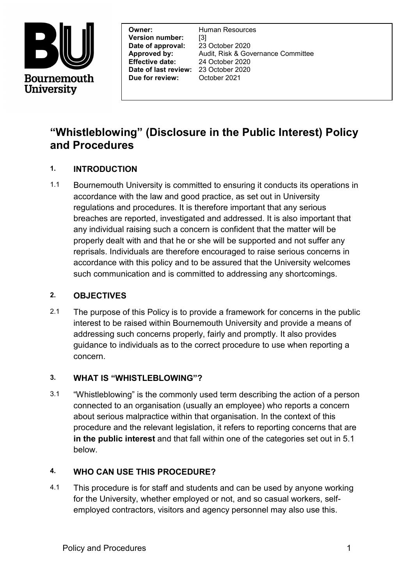

**Effective date:**<br> **Date of last review:** 23 October 2020<br> **Date of last review:** 23 October 2020 **Owner:** Human Resources **Version number:** [3]<br>**Date of approval:** 23 October 2020 **Date of approval: Effective date:** 24 October 2020 **Due for review:** October 2021

**Approved by:** Audit, Risk & Governance Committee

# **"Whistleblowing" (Disclosure in the Public Interest) Policy and Procedures**

# **1. INTRODUCTION**

1.1 Bournemouth University is committed to ensuring it conducts its operations in accordance with the law and good practice, as set out in University regulations and procedures. It is therefore important that any serious breaches are reported, investigated and addressed. It is also important that any individual raising such a concern is confident that the matter will be properly dealt with and that he or she will be supported and not suffer any reprisals. Individuals are therefore encouraged to raise serious concerns in accordance with this policy and to be assured that the University welcomes such communication and is committed to addressing any shortcomings.

#### **2. OBJECTIVES**

2.1 The purpose of this Policy is to provide a framework for concerns in the public interest to be raised within Bournemouth University and provide a means of addressing such concerns properly, fairly and promptly. It also provides guidance to individuals as to the correct procedure to use when reporting a concern.

#### **3. WHAT IS "WHISTLEBLOWING"?**

3.1 "Whistleblowing" is the commonly used term describing the action of a person connected to an organisation (usually an employee) who reports a concern about serious malpractice within that organisation. In the context of this procedure and the relevant legislation, it refers to reporting concerns that are **in the public interest** and that fall within one of the categories set out in 5.1 below.

## **4. WHO CAN USE THIS PROCEDURE?**

4.1 This procedure is for staff and students and can be used by anyone working for the University, whether employed or not, and so casual workers, selfemployed contractors, visitors and agency personnel may also use this.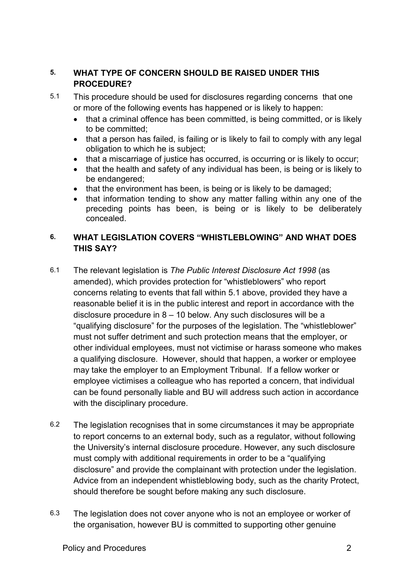## **5. WHAT TYPE OF CONCERN SHOULD BE RAISED UNDER THIS PROCEDURE?**

- 5.1 This procedure should be used for disclosures regarding concerns that one or more of the following events has happened or is likely to happen:
	- that a criminal offence has been committed, is being committed, or is likely to be committed;
	- that a person has failed, is failing or is likely to fail to comply with any legal obligation to which he is subject;
	- that a miscarriage of justice has occurred, is occurring or is likely to occur;
	- that the health and safety of any individual has been, is being or is likely to be endangered;
	- that the environment has been, is being or is likely to be damaged;
	- that information tending to show any matter falling within any one of the preceding points has been, is being or is likely to be deliberately concealed.

## **6. WHAT LEGISLATION COVERS "WHISTLEBLOWING" AND WHAT DOES THIS SAY?**

- 6.1 The relevant legislation is *The Public Interest Disclosure Act 1998* (as amended), which provides protection for "whistleblowers" who report concerns relating to events that fall within 5.1 above, provided they have a reasonable belief it is in the public interest and report in accordance with the disclosure procedure in 8 – 10 below. Any such disclosures will be a "qualifying disclosure" for the purposes of the legislation. The "whistleblower" must not suffer detriment and such protection means that the employer, or other individual employees, must not victimise or harass someone who makes a qualifying disclosure. However, should that happen, a worker or employee may take the employer to an Employment Tribunal. If a fellow worker or employee victimises a colleague who has reported a concern, that individual can be found personally liable and BU will address such action in accordance with the disciplinary procedure.
- 6.2 The legislation recognises that in some circumstances it may be appropriate to report concerns to an external body, such as a regulator, without following the University's internal disclosure procedure. However, any such disclosure must comply with additional requirements in order to be a "qualifying disclosure" and provide the complainant with protection under the legislation. Advice from an independent whistleblowing body, such as the charity Protect, should therefore be sought before making any such disclosure.
- 6.3 The legislation does not cover anyone who is not an employee or worker of the organisation, however BU is committed to supporting other genuine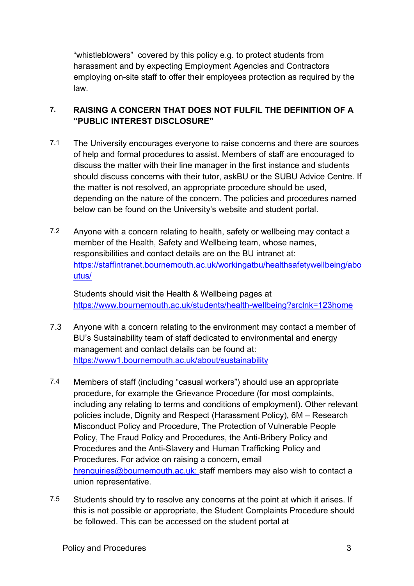"whistleblowers" covered by this policy e.g. to protect students from harassment and by expecting Employment Agencies and Contractors employing on-site staff to offer their employees protection as required by the law.

## **7. RAISING A CONCERN THAT DOES NOT FULFIL THE DEFINITION OF A "PUBLIC INTEREST DISCLOSURE"**

- 7.1 The University encourages everyone to raise concerns and there are sources of help and formal procedures to assist. Members of staff are encouraged to discuss the matter with their line manager in the first instance and students should discuss concerns with their tutor, askBU or the SUBU Advice Centre. If the matter is not resolved, an appropriate procedure should be used, depending on the nature of the concern. The policies and procedures named below can be found on the University's website and student portal.
- 7.2 Anyone with a concern relating to health, safety or wellbeing may contact a member of the Health, Safety and Wellbeing team, whose names, responsibilities and contact details are on the BU intranet at: [https://staffintranet.bournemouth.ac.uk/workingatbu/healthsafetywellbeing/abo](https://staffintranet.bournemouth.ac.uk/workingatbu/healthsafetywellbeing/aboutus/) [utus/](https://staffintranet.bournemouth.ac.uk/workingatbu/healthsafetywellbeing/aboutus/)

Students should visit the Health & Wellbeing pages at <https://www.bournemouth.ac.uk/students/health-wellbeing?srclnk=123home>

- 7.3 Anyone with a concern relating to the environment may contact a member of BU's Sustainability team of staff dedicated to environmental and energy management and contact details can be found at: <https://www1.bournemouth.ac.uk/about/sustainability>
- 7.4 Members of staff (including "casual workers") should use an appropriate procedure, for example the Grievance Procedure (for most complaints, including any relating to terms and conditions of employment). Other relevant policies include, Dignity and Respect (Harassment Policy), 6M – Research Misconduct Policy and Procedure, The Protection of Vulnerable People Policy, The Fraud Policy and Procedures, the Anti-Bribery Policy and Procedures and the Anti-Slavery and Human Trafficking Policy and Procedures. For advice on raising a concern, email [hrenquiries@bournemouth.ac.uk;](mailto:hrenquiries@bournemouth.ac.uk) staff members may also wish to contact a union representative.
- 7.5 Students should try to resolve any concerns at the point at which it arises. If this is not possible or appropriate, the Student Complaints Procedure should be followed. This can be accessed on the student portal at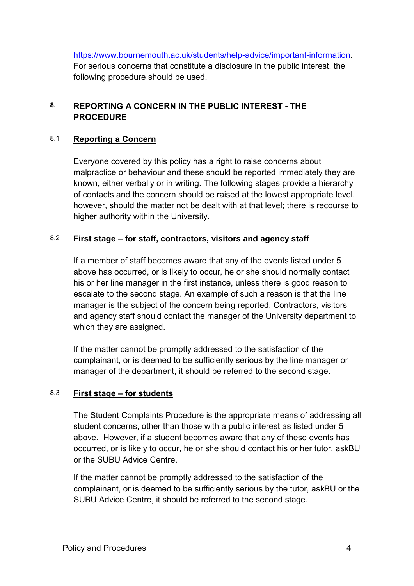[https://www.bournemouth.ac.uk/students/help-advice/important-information.](https://www.bournemouth.ac.uk/students/help-advice/important-information) For serious concerns that constitute a disclosure in the public interest, the following procedure should be used.

## **8. REPORTING A CONCERN IN THE PUBLIC INTEREST - THE PROCEDURE**

#### 8.1 **Reporting a Concern**

Everyone covered by this policy has a right to raise concerns about malpractice or behaviour and these should be reported immediately they are known, either verbally or in writing. The following stages provide a hierarchy of contacts and the concern should be raised at the lowest appropriate level, however, should the matter not be dealt with at that level; there is recourse to higher authority within the University.

#### 8.2 **First stage – for staff, contractors, visitors and agency staff**

If a member of staff becomes aware that any of the events listed under 5 above has occurred, or is likely to occur, he or she should normally contact his or her line manager in the first instance, unless there is good reason to escalate to the second stage. An example of such a reason is that the line manager is the subject of the concern being reported. Contractors, visitors and agency staff should contact the manager of the University department to which they are assigned.

If the matter cannot be promptly addressed to the satisfaction of the complainant, or is deemed to be sufficiently serious by the line manager or manager of the department, it should be referred to the second stage.

#### 8.3 **First stage – for students**

The Student Complaints Procedure is the appropriate means of addressing all student concerns, other than those with a public interest as listed under 5 above. However, if a student becomes aware that any of these events has occurred, or is likely to occur, he or she should contact his or her tutor, askBU or the SUBU Advice Centre.

If the matter cannot be promptly addressed to the satisfaction of the complainant, or is deemed to be sufficiently serious by the tutor, askBU or the SUBU Advice Centre, it should be referred to the second stage.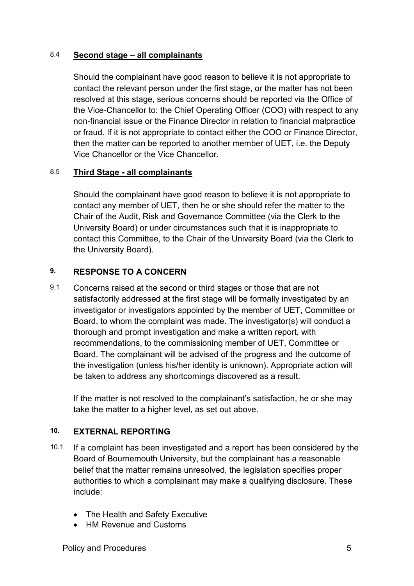#### 8.4 **Second stage – all complainants**

Should the complainant have good reason to believe it is not appropriate to contact the relevant person under the first stage, or the matter has not been resolved at this stage, serious concerns should be reported via the Office of the Vice-Chancellor to: the Chief Operating Officer (COO) with respect to any non-financial issue or the Finance Director in relation to financial malpractice or fraud. If it is not appropriate to contact either the COO or Finance Director, then the matter can be reported to another member of UET, i.e. the Deputy Vice Chancellor or the Vice Chancellor.

## 8.5 **Third Stage - all complainants**

Should the complainant have good reason to believe it is not appropriate to contact any member of UET, then he or she should refer the matter to the Chair of the Audit, Risk and Governance Committee (via the Clerk to the University Board) or under circumstances such that it is inappropriate to contact this Committee, to the Chair of the University Board (via the Clerk to the University Board).

## **9. RESPONSE TO A CONCERN**

9.1 Concerns raised at the second or third stages or those that are not satisfactorily addressed at the first stage will be formally investigated by an investigator or investigators appointed by the member of UET, Committee or Board, to whom the complaint was made. The investigator(s) will conduct a thorough and prompt investigation and make a written report, with recommendations, to the commissioning member of UET, Committee or Board. The complainant will be advised of the progress and the outcome of the investigation (unless his/her identity is unknown). Appropriate action will be taken to address any shortcomings discovered as a result.

If the matter is not resolved to the complainant's satisfaction, he or she may take the matter to a higher level, as set out above.

#### **10. EXTERNAL REPORTING**

- 10.1 If a complaint has been investigated and a report has been considered by the Board of Bournemouth University, but the complainant has a reasonable belief that the matter remains unresolved, the legislation specifies proper authorities to which a complainant may make a qualifying disclosure. These include:
	- The Health and Safety Executive
	- HM Revenue and Customs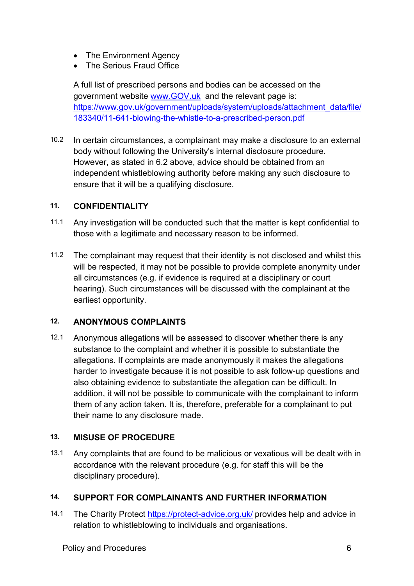- The Environment Agency
- The Serious Fraud Office

A full list of prescribed persons and bodies can be accessed on the government website [www.GOV.uk](http://www.gov.uk/) and the relevant page is: [https://www.gov.uk/government/uploads/system/uploads/attachment\\_data/file/](https://www.gov.uk/government/uploads/system/uploads/attachment_data/file/183340/11-641-blowing-the-whistle-to-a-prescribed-person.pdf) [183340/11-641-blowing-the-whistle-to-a-prescribed-person.pdf](https://www.gov.uk/government/uploads/system/uploads/attachment_data/file/183340/11-641-blowing-the-whistle-to-a-prescribed-person.pdf)

10.2 In certain circumstances, a complainant may make a disclosure to an external body without following the University's internal disclosure procedure. However, as stated in 6.2 above, advice should be obtained from an independent whistleblowing authority before making any such disclosure to ensure that it will be a qualifying disclosure.

#### **11. CONFIDENTIALITY**

- 11.1 Any investigation will be conducted such that the matter is kept confidential to those with a legitimate and necessary reason to be informed.
- 11.2 The complainant may request that their identity is not disclosed and whilst this will be respected, it may not be possible to provide complete anonymity under all circumstances (e.g. if evidence is required at a disciplinary or court hearing). Such circumstances will be discussed with the complainant at the earliest opportunity.

#### **12. ANONYMOUS COMPLAINTS**

12.1 Anonymous allegations will be assessed to discover whether there is any substance to the complaint and whether it is possible to substantiate the allegations. If complaints are made anonymously it makes the allegations harder to investigate because it is not possible to ask follow-up questions and also obtaining evidence to substantiate the allegation can be difficult. In addition, it will not be possible to communicate with the complainant to inform them of any action taken. It is, therefore, preferable for a complainant to put their name to any disclosure made.

#### **13. MISUSE OF PROCEDURE**

13.1 Any complaints that are found to be malicious or vexatious will be dealt with in accordance with the relevant procedure (e.g. for staff this will be the disciplinary procedure).

## **14. SUPPORT FOR COMPLAINANTS AND FURTHER INFORMATION**

14.1 The Charity Protect<https://protect-advice.org.uk/> provides help and advice in relation to whistleblowing to individuals and organisations.